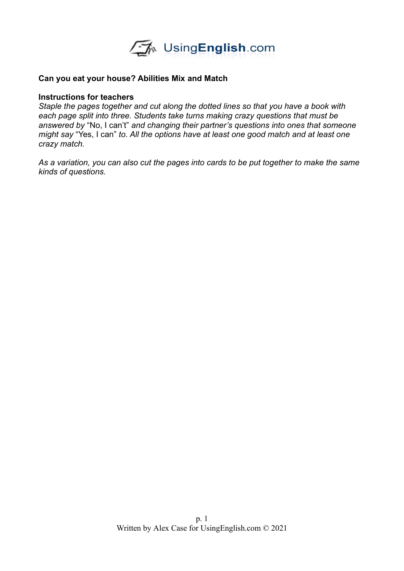

#### **Can you eat your house? Abilities Mix and Match**

#### **Instructions for teachers**

*Staple the pages together and cut along the dotted lines so that you have a book with each page split into three. Students take turns making crazy questions that must be answered by* "No, I can't" *and changing their partner's questions into ones that someone might say* "Yes, I can" *to. All the options have at least one good match and at least one crazy match.* 

*As a variation, you can also cut the pages into cards to be put together to make the same kinds of questions.*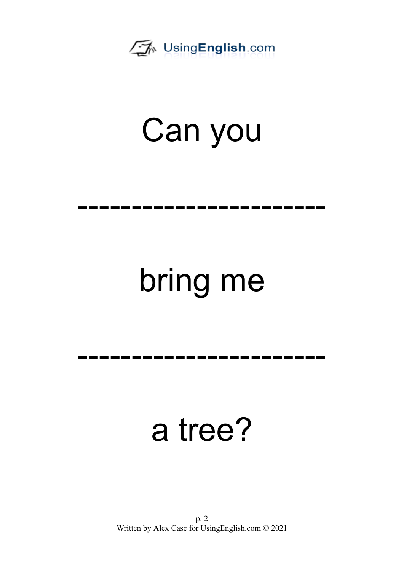

-----------------------

# bring me

-----------------------

#### a tree?

p. 2 Written by Alex Case for UsingEnglish.com © 2021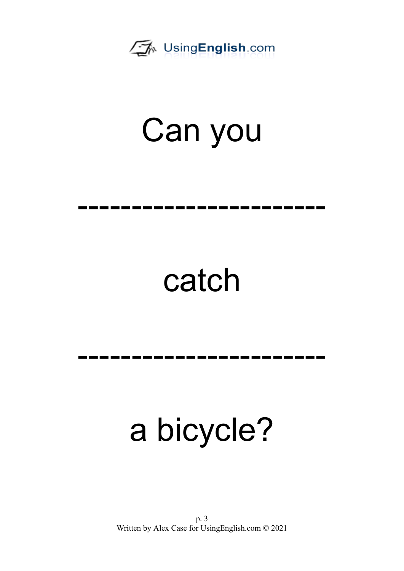

-----------------------

## catch

-----------------------

## a bicycle?

p. 3 Written by Alex Case for UsingEnglish.com © 2021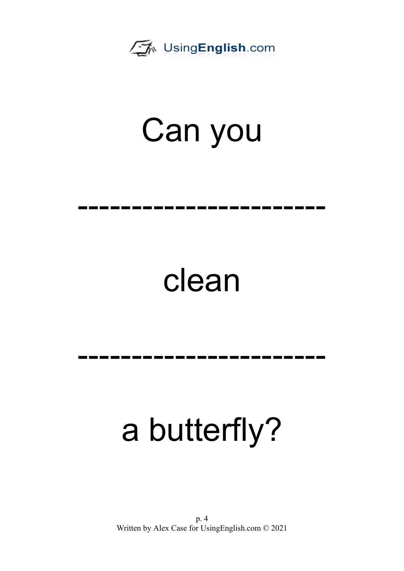

-----------------------

#### clean

## -----------------------

## a butterfly?

p. 4 Written by Alex Case for UsingEnglish.com © 2021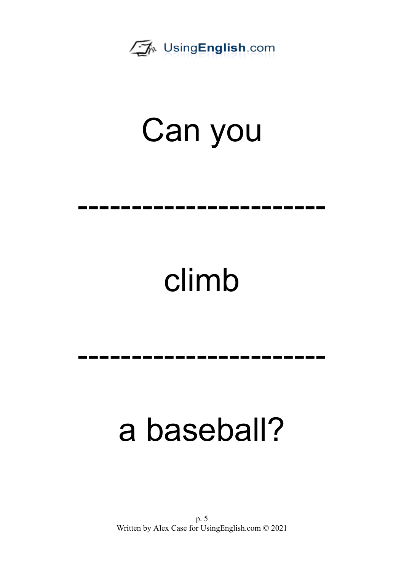

-----------------------

## climb

-----------------------

## a baseball?

p. 5 Written by Alex Case for UsingEnglish.com © 2021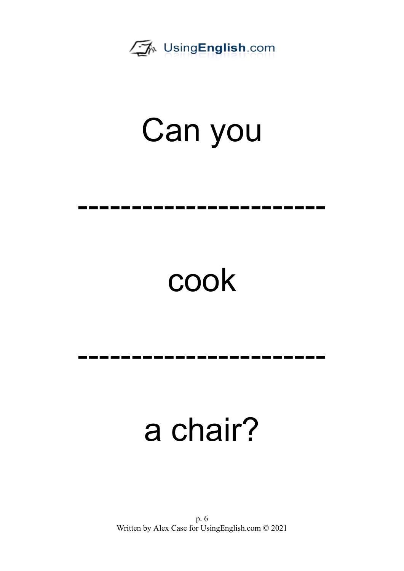

-----------------------

## cook

-----------------------

## a chair?

p. 6 Written by Alex Case for UsingEnglish.com © 2021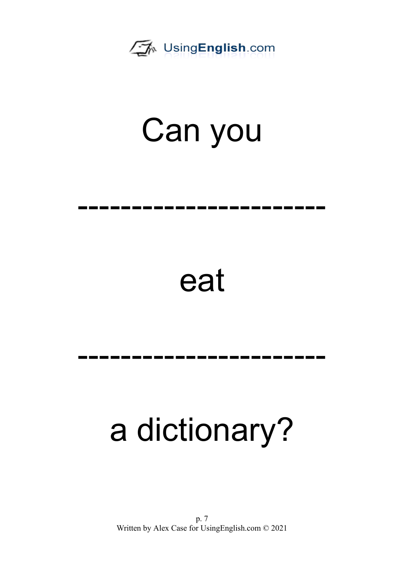

-----------------------

#### eat

## -----------------------

## a dictionary?

p. 7 Written by Alex Case for UsingEnglish.com © 2021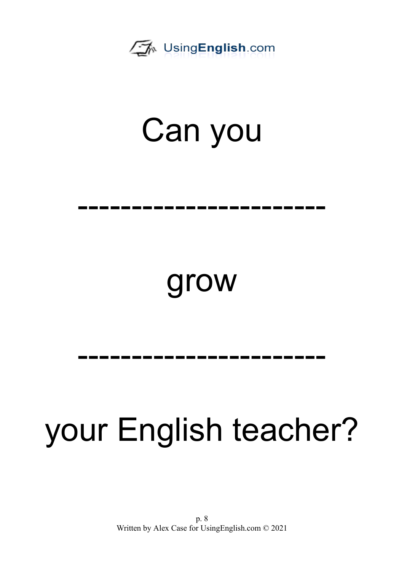

-----------------------

#### grow

## -----------------------

## your English teacher?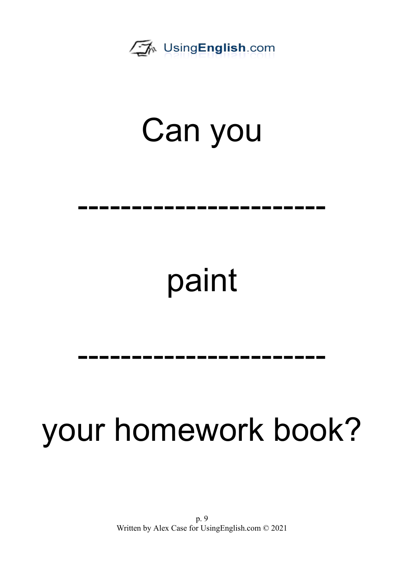

-----------------------

## paint

-----------------------

## your homework book?

p. 9 Written by Alex Case for UsingEnglish.com © 2021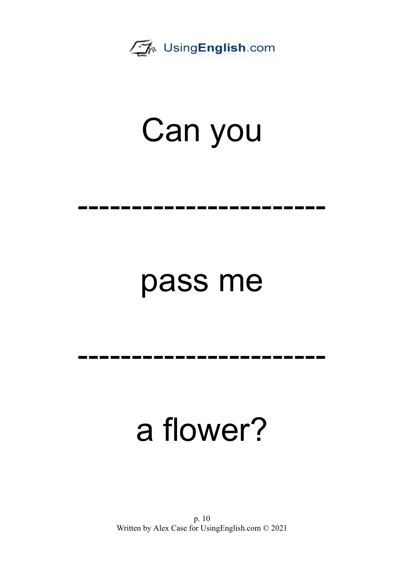

-----------------------

#### pass me

-----------------------

## a flower?

p. 10 Written by Alex Case for UsingEnglish.com © 2021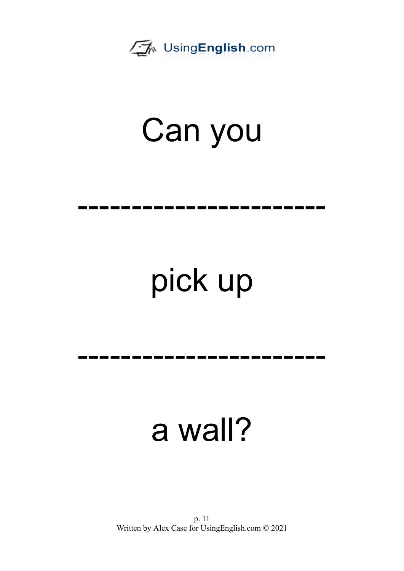

-----------------------

# pick up

-----------------------

#### a wall?

p. 11 Written by Alex Case for UsingEnglish.com © 2021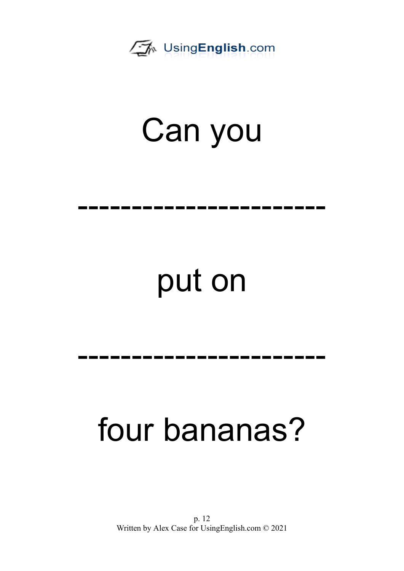

-----------------------

## put on

-----------------------

## four bananas?

p. 12 Written by Alex Case for UsingEnglish.com © 2021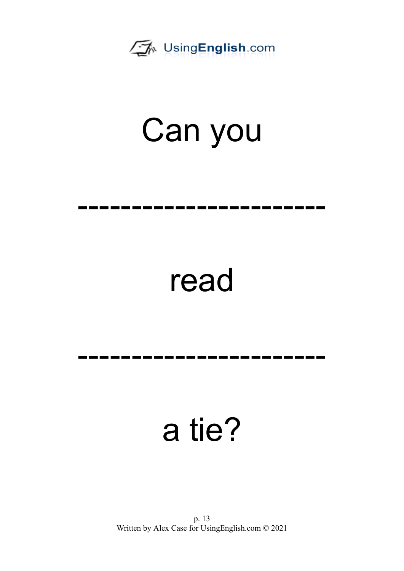

-----------------------

### read

-----------------------

#### a tie?

p. 13 Written by Alex Case for UsingEnglish.com © 2021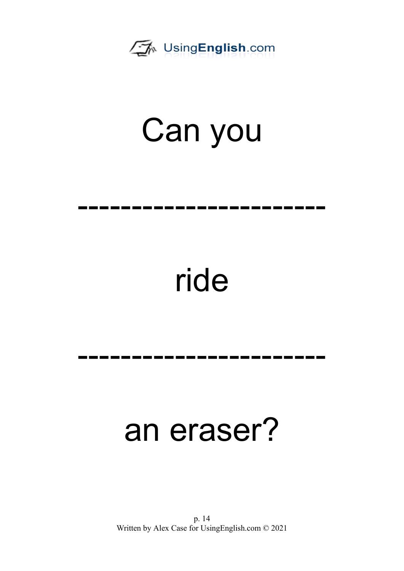

-----------------------

## ride

## -----------------------

#### an eraser?

p. 14 Written by Alex Case for UsingEnglish.com © 2021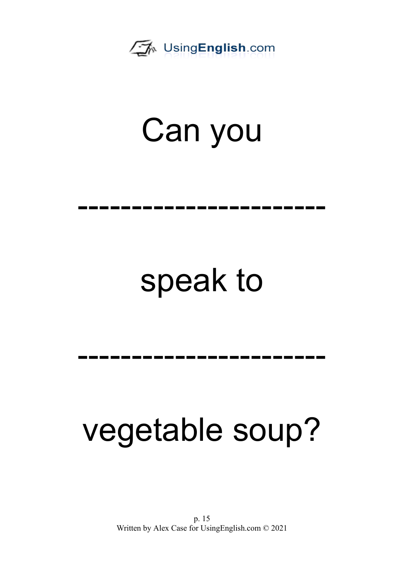

-----------------------

## speak to

-----------------------

## vegetable soup?

p. 15 Written by Alex Case for UsingEnglish.com © 2021